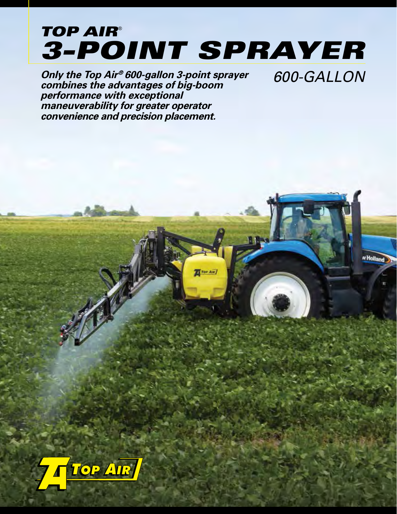## *3-POINT SPRAYER TOP AIR*®

Tor Air

w Holland

**Only the Top Air<sup>®</sup> 600-gallon 3-point sprayer 600-GALLON combines the advantages of big-boom performance with exceptional maneuverability for greater operator convenience and precision placement.**